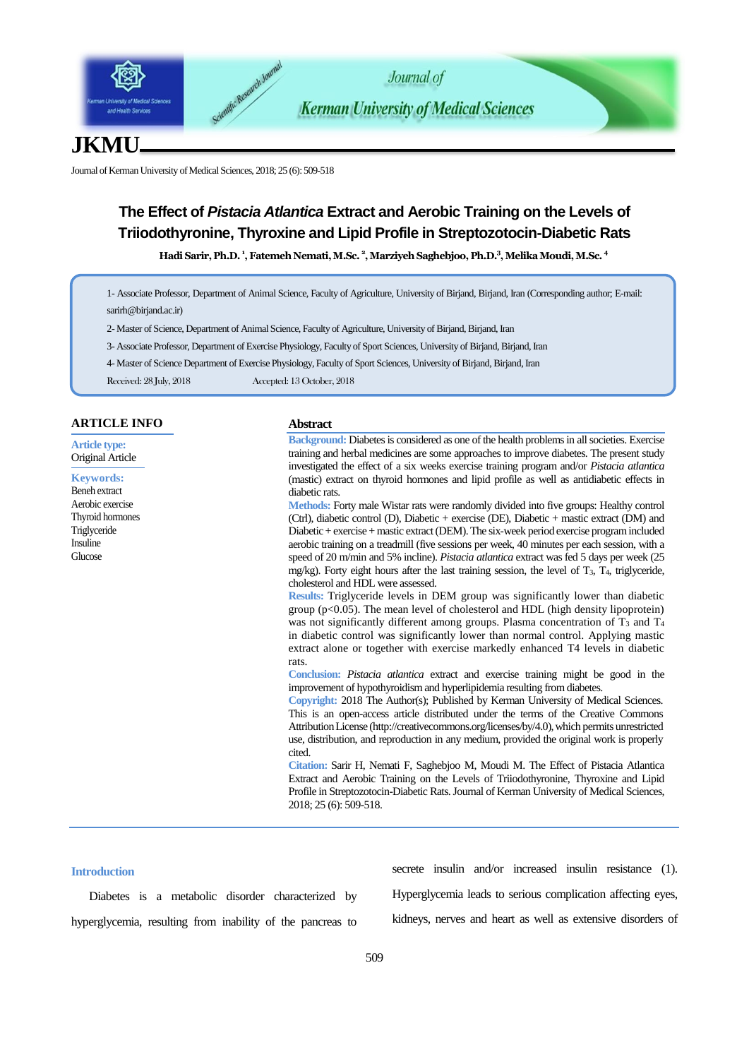

# **JKMU**

Journal of Kerman University of Medical Sciences, 2018; 25 (6): 509-518

# **The Effect of** *Pistacia Atlantica* **Extract and Aerobic Training on the Levels of Triiodothyronine, Thyroxine and Lipid Profile in Streptozotocin-Diabetic Rats**

**Hadi Sarir, Ph.D. <sup>1</sup> , Fatemeh Nemati,M.Sc. <sup>2</sup> , Marziyeh Saghebjoo, Ph.D.<sup>3</sup> ,Melika Moudi,M.Sc. <sup>4</sup>**

1- Associate Professor, Department of Animal Science, Faculty of Agriculture, University of Birjand, Birjand, Iran (Corresponding author; E-mail: [sarirh@birjand.ac.ir\)](mailto:sarirh@birjand.ac.ir)

- 2- Master of Science, Department of Animal Science, Faculty of Agriculture, University of Birjand, Birjand, Iran
- 3- Associate Professor, Department of Exercise Physiology, Faculty of Sport Sciences, University of Birjand, Birjand, Iran
- 4- Master of Science Department of Exercise Physiology, Faculty of Sport Sciences, University of Birjand, Birjand, Iran

Received: 28 July, 2018 Accepted: 13 October, 2018

| <b>ARTICLE INFO</b>                             | <b>Abstract</b>                                                                                                                                                                                                                                                                                                                                                                                                                                                                                                                                                                                                                                          |
|-------------------------------------------------|----------------------------------------------------------------------------------------------------------------------------------------------------------------------------------------------------------------------------------------------------------------------------------------------------------------------------------------------------------------------------------------------------------------------------------------------------------------------------------------------------------------------------------------------------------------------------------------------------------------------------------------------------------|
| <b>Article type:</b><br><b>Original Article</b> | <b>Background:</b> Diabetes is considered as one of the health problems in all societies. Exercise<br>training and herbal medicines are some approaches to improve diabetes. The present study                                                                                                                                                                                                                                                                                                                                                                                                                                                           |
|                                                 | investigated the effect of a six weeks exercise training program and/or <i>Pistacia atlantica</i>                                                                                                                                                                                                                                                                                                                                                                                                                                                                                                                                                        |
| <b>Keywords:</b>                                | (mastic) extract on thyroid hormones and lipid profile as well as antidiabetic effects in                                                                                                                                                                                                                                                                                                                                                                                                                                                                                                                                                                |
| <b>Beneh</b> extract                            | diabetic rats.                                                                                                                                                                                                                                                                                                                                                                                                                                                                                                                                                                                                                                           |
| Aerobic exercise                                | <b>Methods:</b> Forty male Wistar rats were randomly divided into five groups: Healthy control                                                                                                                                                                                                                                                                                                                                                                                                                                                                                                                                                           |
| Thyroid hormones                                | (Ctrl), diabetic control (D), Diabetic + exercise (DE), Diabetic + mastic extract (DM) and                                                                                                                                                                                                                                                                                                                                                                                                                                                                                                                                                               |
| Triglyceride                                    | Diabetic + exercise + mastic extract (DEM). The six-week period exercise program included                                                                                                                                                                                                                                                                                                                                                                                                                                                                                                                                                                |
| Insuline                                        | aerobic training on a treadmill (five sessions per week, 40 minutes per each session, with a                                                                                                                                                                                                                                                                                                                                                                                                                                                                                                                                                             |
| Glucose                                         | speed of 20 m/min and 5% incline). Pistacia atlantica extract was fed 5 days per week (25<br>mg/kg). Forty eight hours after the last training session, the level of $T_3$ , $T_4$ , triglyceride,<br>cholesterol and HDL were assessed.                                                                                                                                                                                                                                                                                                                                                                                                                 |
|                                                 | Results: Triglyceride levels in DEM group was significantly lower than diabetic<br>group $(p<0.05)$ . The mean level of cholesterol and HDL (high density lipoprotein)<br>was not significantly different among groups. Plasma concentration of $T_3$ and $T_4$<br>in diabetic control was significantly lower than normal control. Applying mastic<br>extract alone or together with exercise markedly enhanced T4 levels in diabetic                                                                                                                                                                                                                   |
|                                                 | rats.<br>Conclusion: <i>Pistacia atlantica</i> extract and exercise training might be good in the<br>improvement of hypothyroidism and hyperlipidemia resulting from diabetes.<br>Copyright: 2018 The Author(s); Published by Kerman University of Medical Sciences.<br>This is an open-access article distributed under the terms of the Creative Commons<br>Attribution License (http://creativecommons.org/licenses/by/4.0), which permits unrestricted<br>use, distribution, and reproduction in any medium, provided the original work is properly<br>cited.<br>Citation: Sarir H, Nemati F, Saghebjoo M, Moudi M. The Effect of Pistacia Atlantica |
|                                                 | Extract and Aerobic Training on the Levels of Triiodothyronine, Thyroxine and Lipid<br>Profile in Streptozotocin-Diabetic Rats. Journal of Kerman University of Medical Sciences,<br>2018; 25 (6): 509-518.                                                                                                                                                                                                                                                                                                                                                                                                                                              |

## **Introduction**

Diabetes is a metabolic disorder characterized by hyperglycemia, resulting from inability of the pancreas to

secrete insulin and/or increased insulin resistance (1).

Hyperglycemia leads to serious complication affecting eyes,

kidneys, nerves and heart as well as extensive disorders of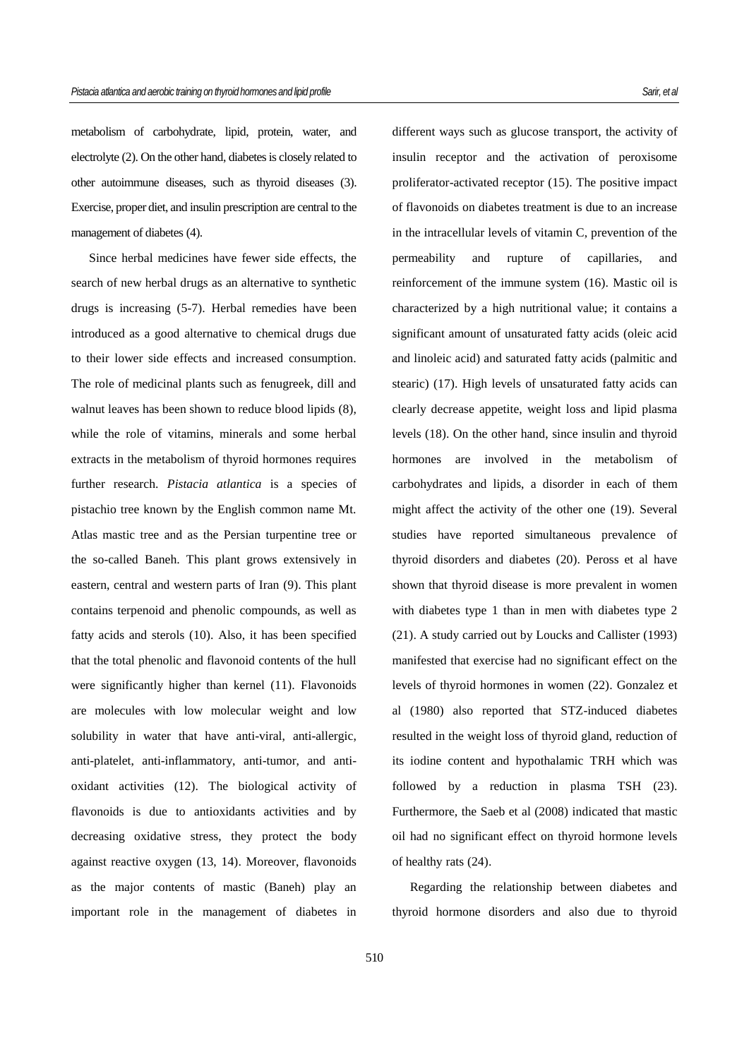metabolism of carbohydrate, lipid, protein, water, and electrolyte (2). On the other hand, diabetes is closely related to other autoimmune diseases, such as thyroid diseases (3). Exercise, proper diet, and insulin prescription are central to the management of diabetes (4).

Since herbal medicines have fewer side effects, the search of new herbal drugs as an alternative to synthetic drugs is increasing (5-7). Herbal remedies have been introduced as a good alternative to chemical drugs due to their lower side effects and increased consumption. The role of medicinal plants such as fenugreek, dill and walnut leaves has been shown to reduce blood lipids (8), while the role of vitamins, minerals and some herbal extracts in the metabolism of thyroid hormones requires further research. *Pistacia atlantica* is a species of pistachio tree known by the English common name Mt. Atlas mastic tree and as the Persian turpentine tree or the so-called Baneh. This plant grows extensively in eastern, central and western parts of Iran (9). This plant contains terpenoid and phenolic compounds, as well as fatty acids and sterols (10). Also, it has been specified that the total phenolic and flavonoid contents of the hull were significantly higher than kernel (11). Flavonoids are molecules with low molecular weight and low solubility in water that have anti-viral, anti-allergic, anti-platelet, anti-inflammatory, anti-tumor, and antioxidant activities (12). The biological activity of flavonoids is due to antioxidants activities and by decreasing oxidative stress, they protect the body against reactive oxygen (13, 14). Moreover, flavonoids as the major contents of mastic (Baneh) play an important role in the management of diabetes in

different ways such as glucose transport, the activity of insulin receptor and the activation of peroxisome proliferator-activated receptor (15). The positive impact of flavonoids on diabetes treatment is due to an increase in the intracellular levels of vitamin C, prevention of the permeability and rupture of capillaries, and reinforcement of the immune system (16). Mastic oil is characterized by a high nutritional value; it contains a significant amount of unsaturated fatty acids (oleic acid and linoleic acid) and saturated fatty acids (palmitic and stearic) (17). High levels of unsaturated fatty acids can clearly decrease appetite, weight loss and lipid plasma levels (18). On the other hand, since insulin and thyroid hormones are involved in the metabolism of carbohydrates and lipids, a disorder in each of them might affect the activity of the other one (19). Several studies have reported simultaneous prevalence of thyroid disorders and diabetes (20). Peross et al have shown that thyroid disease is more prevalent in women with diabetes type 1 than in men with diabetes type 2 (21). A study carried out by Loucks and Callister (1993) manifested that exercise had no significant effect on the levels of thyroid hormones in women (22). Gonzalez et al (1980) also reported that STZ-induced diabetes resulted in the weight loss of thyroid gland, reduction of its iodine content and hypothalamic TRH which was followed by a reduction in plasma TSH (23). Furthermore, the Saeb et al (2008) indicated that mastic oil had no significant effect on thyroid hormone levels of healthy rats (24).

Regarding the relationship between diabetes and thyroid hormone disorders and also due to thyroid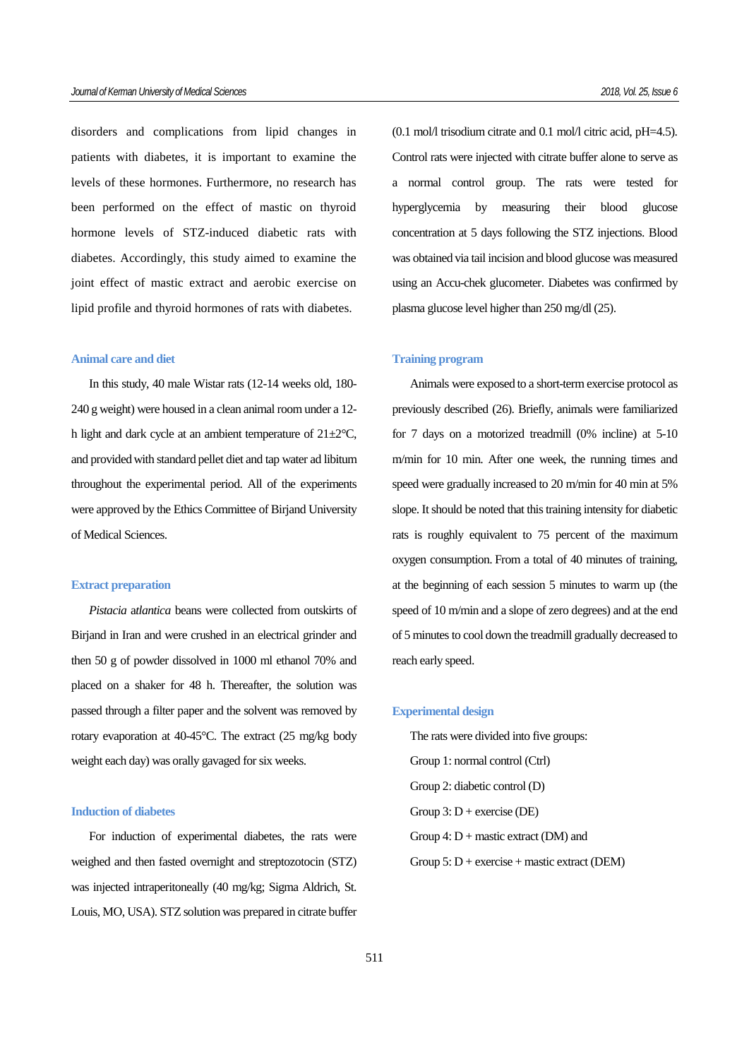disorders and complications from lipid changes in patients with diabetes, it is important to examine the levels of these hormones. Furthermore, no research has been performed on the effect of mastic on thyroid hormone levels of STZ-induced diabetic rats with diabetes. Accordingly, this study aimed to examine the joint effect of mastic extract and aerobic exercise on lipid profile and thyroid hormones of rats with diabetes.

#### **Animal care and diet**

In this study, 40 male Wistar rats (12-14 weeks old, 180- 240 g weight) were housed in a clean animal room under a 12 h light and dark cycle at an ambient temperature of  $21 \pm 2^{\circ}$ C, and provided with standard pellet diet and tap water ad libitum throughout the experimental period. All of the experiments were approved by the Ethics Committee of Birjand University of Medical Sciences.

#### **Extract preparation**

*Pistacia* a*tlantica* beans were collected from outskirts of Birjand in Iran and were crushed in an electrical grinder and then 50 g of powder dissolved in 1000 ml ethanol 70% and placed on a shaker for 48 h. Thereafter, the solution was passed through a filter paper and the solvent was removed by rotary evaporation at 40-45°C. The extract (25 mg/kg body weight each day) was orally gavaged for six weeks.

#### **Induction of diabetes**

For induction of experimental diabetes, the rats were weighed and then fasted overnight and streptozotocin (STZ) was injected intraperitoneally (40 mg/kg; Sigma Aldrich, St. Louis, MO, USA). STZ solution was prepared in citrate buffer  $(0.1 \text{ mol/l} \text{ trisodium}$  citrate and  $0.1 \text{ mol/l} \text{ citric acid, pH=4.5}$ . Control rats were injected with citrate buffer alone to serve as a normal control group. The rats were tested for hyperglycemia by measuring their blood glucose concentration at 5 days following the STZ injections. Blood was obtained via tail incision and blood glucose was measured using an Accu-chek glucometer. Diabetes was confirmed by plasma glucose level higher than 250 mg/dl (25).

#### **Training program**

Animals were exposed to a short-term exercise protocol as previously described (26). Briefly, animals were familiarized for 7 days on a motorized treadmill (0% incline) at 5-10 m/min for 10 min. After one week, the running times and speed were gradually increased to 20 m/min for 40 min at 5% slope. It should be noted that this training intensity for diabetic rats is roughly equivalent to 75 percent of the maximum oxygen consumption. From a total of 40 minutes of training, at the beginning of each session 5 minutes to warm up (the speed of 10 m/min and a slope of zero degrees) and at the end of 5 minutes to cool down the treadmill gradually decreased to reach early speed.

#### **Experimental design**

The rats were divided into five groups: Group 1: normal control (Ctrl) Group 2: diabetic control (D) Group  $3: D +$  exercise (DE) Group 4:  $D$  + mastic extract (DM) and Group  $5: D +$  exercise + mastic extract (DEM)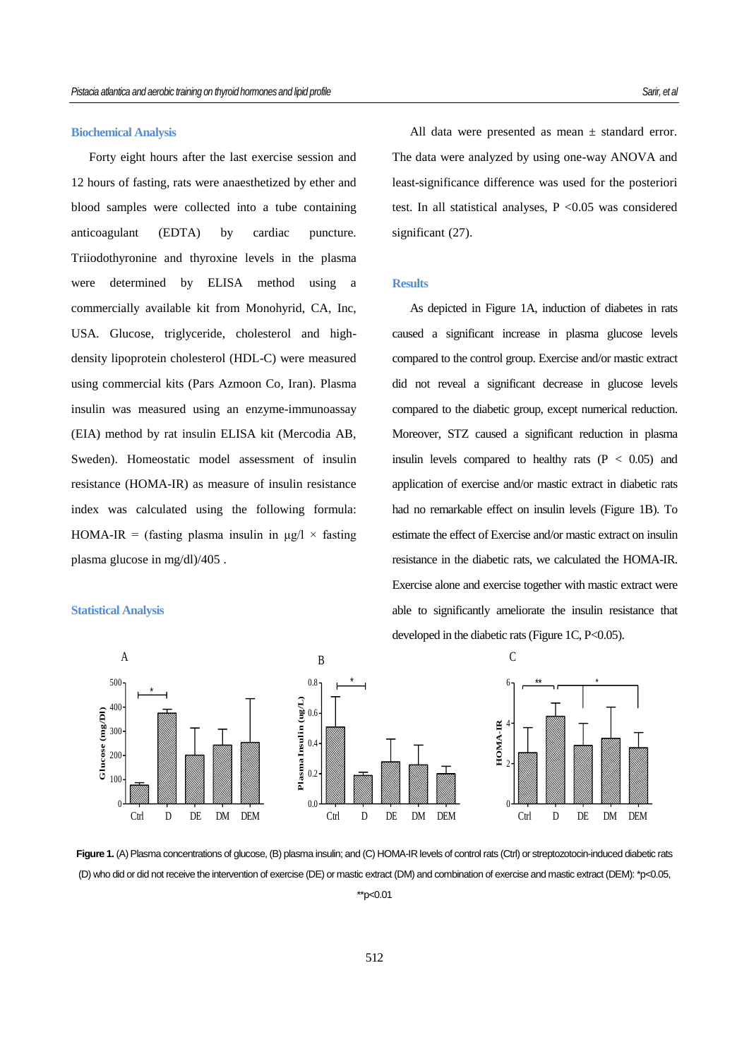#### **Biochemical Analysis**

Forty eight hours after the last exercise session and 12 hours of fasting, rats were anaesthetized by ether and blood samples were collected into a tube containing anticoagulant (EDTA) by cardiac puncture. Triiodothyronine and thyroxine levels in the plasma were determined by ELISA method using a commercially available kit from Monohyrid, CA, Inc, USA. Glucose, triglyceride, cholesterol and highdensity lipoprotein cholesterol (HDL-C) were measured using commercial kits (Pars Azmoon Co, Iran). Plasma insulin was measured using an enzyme-immunoassay (EIA) method by rat insulin ELISA kit (Mercodia AB, Sweden). Homeostatic model assessment of insulin resistance (HOMA-IR) as measure of insulin resistance index was calculated using the following formula: HOMA-IR = (fasting plasma insulin in  $\mu$ g/l × fasting plasma glucose in mg/dl)/405 .

## **Statistical Analysis**

All data were presented as mean  $\pm$  standard error. The data were analyzed by using one-way ANOVA and least-significance difference was used for the posteriori test. In all statistical analyses,  $P < 0.05$  was considered significant (27).

### **Results**

As depicted in Figure 1A, induction of diabetes in rats caused a significant increase in plasma glucose levels compared to the control group. Exercise and/or mastic extract did not reveal a significant decrease in glucose levels compared to the diabetic group, except numerical reduction. Moreover, STZ caused a significant reduction in plasma insulin levels compared to healthy rats  $(P < 0.05)$  and application of exercise and/or mastic extract in diabetic rats had no remarkable effect on insulin levels (Figure 1B). To estimate the effect of Exercise and/or mastic extract on insulin resistance in the diabetic rats, we calculated the HOMA-IR. Exercise alone and exercise together with mastic extract were able to significantly ameliorate the insulin resistance that developed in the diabetic rats (Figure 1C, P<0.05).



Figure 1. (A) Plasma concentrations of glucose, (B) plasma insulin; and (C) HOMA-IR levels of control rats (Ctrl) or streptozotocin-induced diabetic rats (D) who did or did not receive the intervention of exercise (DE) or mastic extract (DM) and combination of exercise and mastic extract (DEM): \*p<0.05,

\*\*p<0.01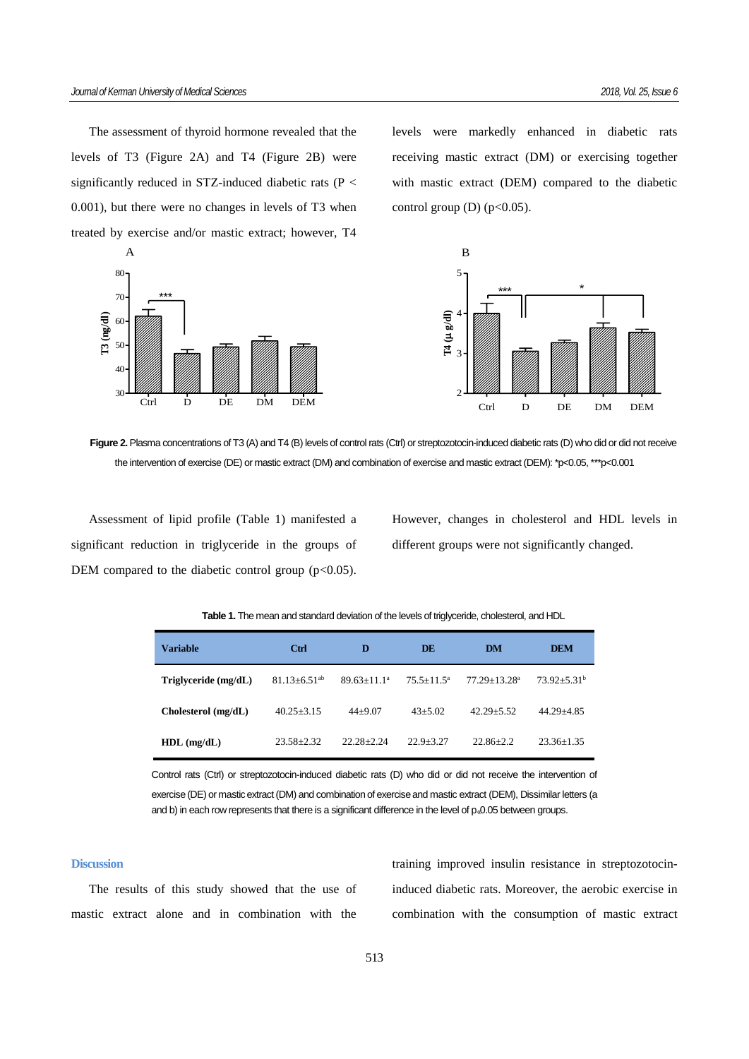The assessment of thyroid hormone revealed that the levels of T3 (Figure 2A) and T4 (Figure 2B) were significantly reduced in STZ-induced diabetic rats (P < 0.001), but there were no changes in levels of T3 when treated by exercise and/or mastic extract; however, T4



levels were markedly enhanced in diabetic rats receiving mastic extract (DM) or exercising together with mastic extract (DEM) compared to the diabetic control group  $(D)$  (p<0.05).



**Figure 2.** Plasma concentrations of T3 (A) and T4 (B) levels of control rats (Ctrl) or streptozotocin-induced diabetic rats (D) who did or did not receive the intervention of exercise (DE) or mastic extract (DM) and combination of exercise and mastic extract (DEM): \*p<0.05, \*\*\*p<0.001

Assessment of lipid profile (Table 1) manifested a significant reduction in triglyceride in the groups of DEM compared to the diabetic control group  $(p<0.05)$ . However, changes in cholesterol and HDL levels in different groups were not significantly changed.

|  |  | Table 1. The mean and standard deviation of the levels of triglyceride, cholesterol, and HDL |  |
|--|--|----------------------------------------------------------------------------------------------|--|
|  |  |                                                                                              |  |

| Variable                | Ctrl                         | D               | DE              | DM                           | <b>DEM</b>       |
|-------------------------|------------------------------|-----------------|-----------------|------------------------------|------------------|
| $T$ riglyceride (mg/dL) | $81.13 + 6.51$ <sup>ab</sup> | $89.63 + 11.1a$ | $75.5 + 11.5^a$ | $77.29 + 13.28$ <sup>a</sup> | $73.92 + 5.31^b$ |
| Cholesterol (mg/dL)     | $40.25 + 3.15$               | $44+9.07$       | $43 + 5.02$     | $42.29 + 5.52$               | $44.29 + 4.85$   |
| $HDL$ (mg/dL)           | $23.58 + 2.32$               | $22.28 + 2.24$  | $22.9 + 3.27$   | $22.86 + 2.2$                | $23.36 + 1.35$   |

Control rats (Ctrl) or streptozotocin-induced diabetic rats (D) who did or did not receive the intervention of exercise (DE) or mastic extract (DM) and combination of exercise and mastic extract (DEM), Dissimilar letters (a and b) in each row represents that there is a significant difference in the level of p. 0.05 between groups.

#### **Discussion**

The results of this study showed that the use of mastic extract alone and in combination with the training improved insulin resistance in streptozotocininduced diabetic rats. Moreover, the aerobic exercise in combination with the consumption of mastic extract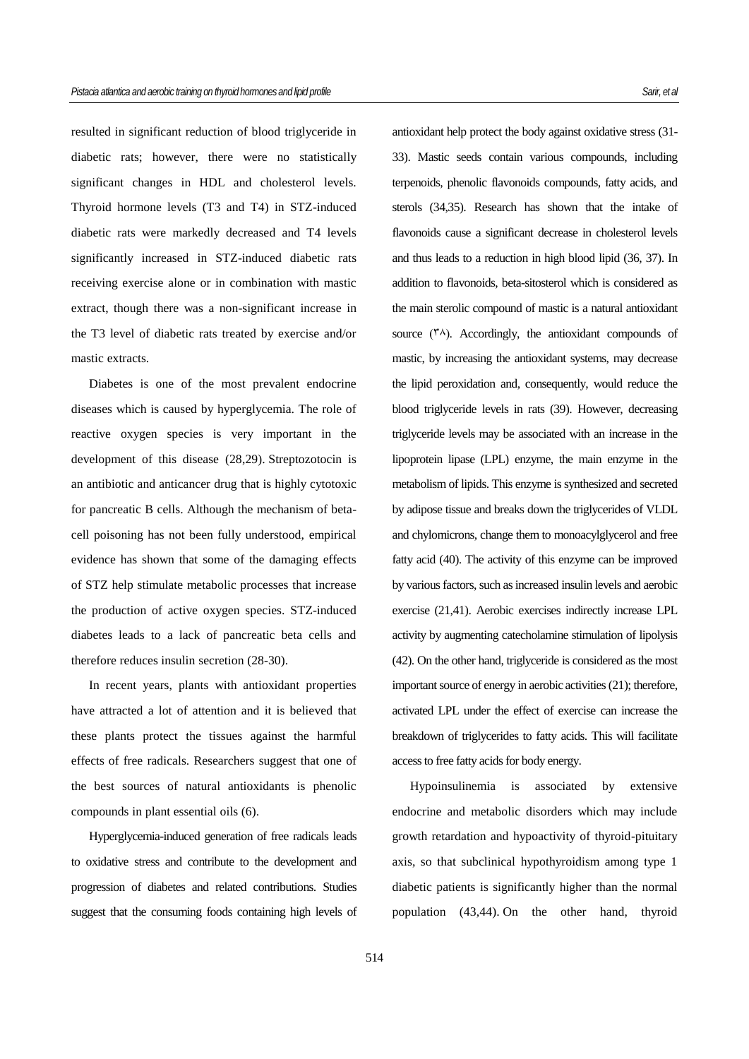resulted in significant reduction of blood triglyceride in diabetic rats; however, there were no statistically significant changes in HDL and cholesterol levels. Thyroid hormone levels (T3 and T4) in STZ-induced diabetic rats were markedly decreased and T4 levels significantly increased in STZ-induced diabetic rats receiving exercise alone or in combination with mastic extract, though there was a non-significant increase in the T3 level of diabetic rats treated by exercise and/or mastic extracts.

Diabetes is one of the most prevalent endocrine diseases which is caused by hyperglycemia. The role of reactive oxygen species is very important in the development of this disease (28,29). Streptozotocin is an antibiotic and anticancer drug that is highly cytotoxic for pancreatic B cells. Although the mechanism of betacell poisoning has not been fully understood, empirical evidence has shown that some of the damaging effects of STZ help stimulate metabolic processes that increase the production of active oxygen species. STZ-induced diabetes leads to a lack of pancreatic beta cells and therefore reduces insulin secretion (28-30).

In recent years, plants with antioxidant properties have attracted a lot of attention and it is believed that these plants protect the tissues against the harmful effects of free radicals. Researchers suggest that one of the best sources of natural antioxidants is phenolic compounds in plant essential oils (6).

Hyperglycemia-induced generation of free radicals leads to oxidative stress and contribute to the development and progression of diabetes and related contributions. Studies suggest that the consuming foods containing high levels of antioxidant help protect the body against oxidative stress (31- 33). Mastic seeds contain various compounds, including terpenoids, phenolic flavonoids compounds, fatty acids, and sterols (34,35). Research has shown that the intake of flavonoids cause a significant decrease in cholesterol levels and thus leads to a reduction in high blood lipid (36, 37). In addition to flavonoids, beta-sitosterol which is considered as the main sterolic compound of mastic is a natural antioxidant source  $(\uparrow \wedge)$ . Accordingly, the antioxidant compounds of mastic, by increasing the antioxidant systems, may decrease the lipid peroxidation and, consequently, would reduce the blood triglyceride levels in rats (39). However, decreasing triglyceride levels may be associated with an increase in the lipoprotein lipase (LPL) enzyme, the main enzyme in the metabolism of lipids. This enzyme is synthesized and secreted by adipose tissue and breaks down the triglycerides of VLDL and chylomicrons, change them to monoacylglycerol and free fatty acid (40). The activity of this enzyme can be improved by various factors, such as increased insulin levels and aerobic exercise (21,41). Aerobic exercises indirectly increase LPL activity by augmenting catecholamine stimulation of lipolysis (42). On the other hand, triglyceride is considered as the most important source of energy in aerobic activities (21); therefore, activated LPL under the effect of exercise can increase the breakdown of triglycerides to fatty acids. This will facilitate access to free fatty acids for body energy.

Hypoinsulinemia is associated by extensive endocrine and metabolic disorders which may include growth retardation and hypoactivity of thyroid-pituitary axis, so that subclinical hypothyroidism among type 1 diabetic patients is significantly higher than the normal population (43,44). On the other hand, thyroid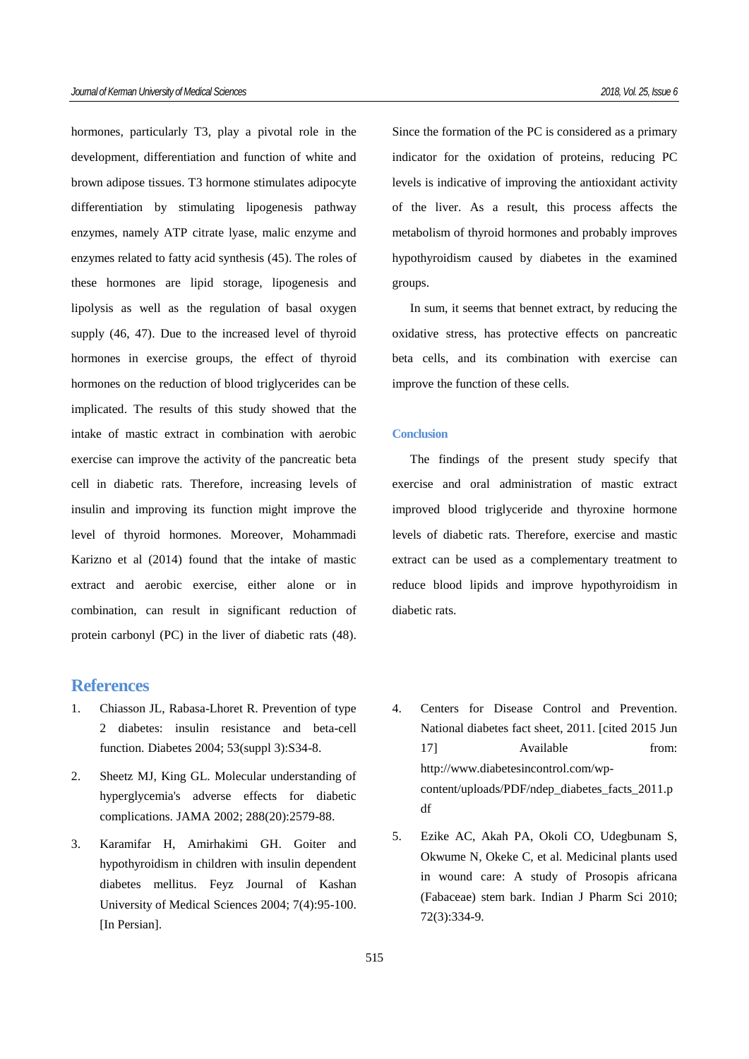hormones, particularly T3, play a pivotal role in the development, differentiation and function of white and brown adipose tissues. T3 hormone stimulates adipocyte differentiation by stimulating lipogenesis pathway enzymes, namely ATP citrate lyase, malic enzyme and enzymes related to fatty acid synthesis (45). The roles of these hormones are lipid storage, lipogenesis and lipolysis as well as the regulation of basal oxygen supply (46, 47). Due to the increased level of thyroid hormones in exercise groups, the effect of thyroid hormones on the reduction of blood triglycerides can be implicated. The results of this study showed that the intake of mastic extract in combination with aerobic exercise can improve the activity of the pancreatic beta cell in diabetic rats. Therefore, increasing levels of insulin and improving its function might improve the level of thyroid hormones. Moreover, Mohammadi Karizno et al (2014) found that the intake of mastic extract and aerobic exercise, either alone or in combination, can result in significant reduction of protein carbonyl (PC) in the liver of diabetic rats (48).

# **References**

- 1. Chiasson JL, Rabasa-Lhoret R. Prevention of type 2 diabetes: insulin resistance and beta-cell function. Diabetes 2004; 53(suppl 3):S34-8.
- 2. Sheetz MJ, King GL. Molecular understanding of hyperglycemia's adverse effects for diabetic complications. JAMA 2002; 288(20):2579-88.
- 3. Karamifar H, Amirhakimi GH. Goiter and hypothyroidism in children with insulin dependent diabetes mellitus. Feyz Journal of Kashan University of Medical Sciences 2004; 7(4):95-100. [In Persian].

Since the formation of the PC is considered as a primary indicator for the oxidation of proteins, reducing PC levels is indicative of improving the antioxidant activity of the liver. As a result, this process affects the metabolism of thyroid hormones and probably improves hypothyroidism caused by diabetes in the examined groups.

In sum, it seems that bennet extract, by reducing the oxidative stress, has protective effects on pancreatic beta cells, and its combination with exercise can improve the function of these cells.

## **Conclusion**

The findings of the present study specify that exercise and oral administration of mastic extract improved blood triglyceride and thyroxine hormone levels of diabetic rats. Therefore, exercise and mastic extract can be used as a complementary treatment to reduce blood lipids and improve hypothyroidism in diabetic rats.

- 4. Centers for Disease Control and Prevention. National diabetes fact sheet, 2011. [cited 2015 Jun 17] Available from: http://www.diabetesincontrol.com/wpcontent/uploads/PDF/ndep\_diabetes\_facts\_2011.p df
- 5. Ezike AC, Akah PA, Okoli CO, Udegbunam S, Okwume N, Okeke C, et al. Medicinal plants used in wound care: A study of Prosopis africana (Fabaceae) stem bark. Indian J Pharm Sci 2010; 72(3):334-9.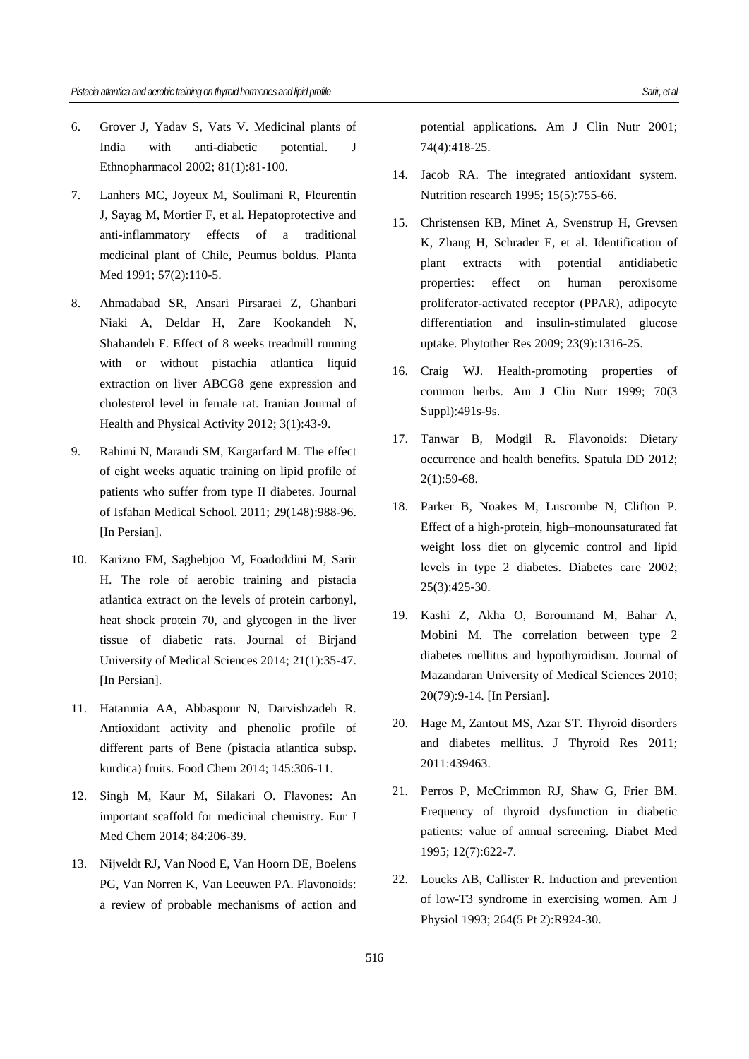- 6. Grover J, Yadav S, Vats V. Medicinal plants of India with anti-diabetic potential. J Ethnopharmacol 2002; 81(1):81-100.
- 7. Lanhers MC, Joyeux M, Soulimani R, Fleurentin J, Sayag M, Mortier F, et al. Hepatoprotective and anti-inflammatory effects of a traditional medicinal plant of Chile, Peumus boldus. Planta Med 1991; 57(2):110-5.
- 8. Ahmadabad SR, Ansari Pirsaraei Z, Ghanbari Niaki A, Deldar H, Zare Kookandeh N, Shahandeh F. Effect of 8 weeks treadmill running with or without pistachia atlantica liquid extraction on liver ABCG8 gene expression and cholesterol level in female rat. Iranian Journal of Health and Physical Activity 2012; 3(1):43-9.
- 9. Rahimi N, Marandi SM, Kargarfard M. The effect of eight weeks aquatic training on lipid profile of patients who suffer from type II diabetes. Journal of Isfahan Medical School. 2011; 29(148):988-96. [In Persian].
- 10. Karizno FM, Saghebjoo M, Foadoddini M, Sarir H. The role of aerobic training and pistacia atlantica extract on the levels of protein carbonyl, heat shock protein 70, and glycogen in the liver tissue of diabetic rats. Journal of Birjand University of Medical Sciences 2014; 21(1):35-47. [In Persian].
- 11. Hatamnia AA, Abbaspour N, Darvishzadeh R. Antioxidant activity and phenolic profile of different parts of Bene (pistacia atlantica subsp. kurdica) fruits. Food Chem 2014; 145:306-11.
- 12. Singh M, Kaur M, Silakari O. Flavones: An important scaffold for medicinal chemistry. Eur J Med Chem 2014; 84:206-39.
- 13. Nijveldt RJ, Van Nood E, Van Hoorn DE, Boelens PG, Van Norren K, Van Leeuwen PA. Flavonoids: a review of probable mechanisms of action and

potential applications. Am J Clin Nutr 2001; 74(4):418-25.

- 14. Jacob RA. The integrated antioxidant system. Nutrition research 1995; 15(5):755-66.
- 15. Christensen KB, Minet A, Svenstrup H, Grevsen K, Zhang H, Schrader E, et al. Identification of plant extracts with potential antidiabetic properties: effect on human peroxisome proliferator-activated receptor (PPAR), adipocyte differentiation and insulin-stimulated glucose uptake. Phytother Res 2009; 23(9):1316-25.
- 16. Craig WJ. Health-promoting properties of common herbs. Am J Clin Nutr 1999; 70(3 Suppl):491s-9s.
- 17. Tanwar B, Modgil R. Flavonoids: Dietary occurrence and health benefits. Spatula DD 2012; 2(1):59-68.
- 18. Parker B, Noakes M, Luscombe N, Clifton P. Effect of a high-protein, high–monounsaturated fat weight loss diet on glycemic control and lipid levels in type 2 diabetes. Diabetes care 2002; 25(3):425-30.
- 19. Kashi Z, Akha O, Boroumand M, Bahar A, Mobini M. The correlation between type 2 diabetes mellitus and hypothyroidism. Journal of Mazandaran University of Medical Sciences 2010; 20(79):9-14. [In Persian].
- 20. Hage M, Zantout MS, Azar ST. Thyroid disorders and diabetes mellitus. J Thyroid Res 2011; 2011:439463.
- 21. Perros P, McCrimmon RJ, Shaw G, Frier BM. Frequency of thyroid dysfunction in diabetic patients: value of annual screening. Diabet Med 1995; 12(7):622-7.
- 22. Loucks AB, Callister R. Induction and prevention of low-T3 syndrome in exercising women. Am J Physiol 1993; 264(5 Pt 2):R924-30.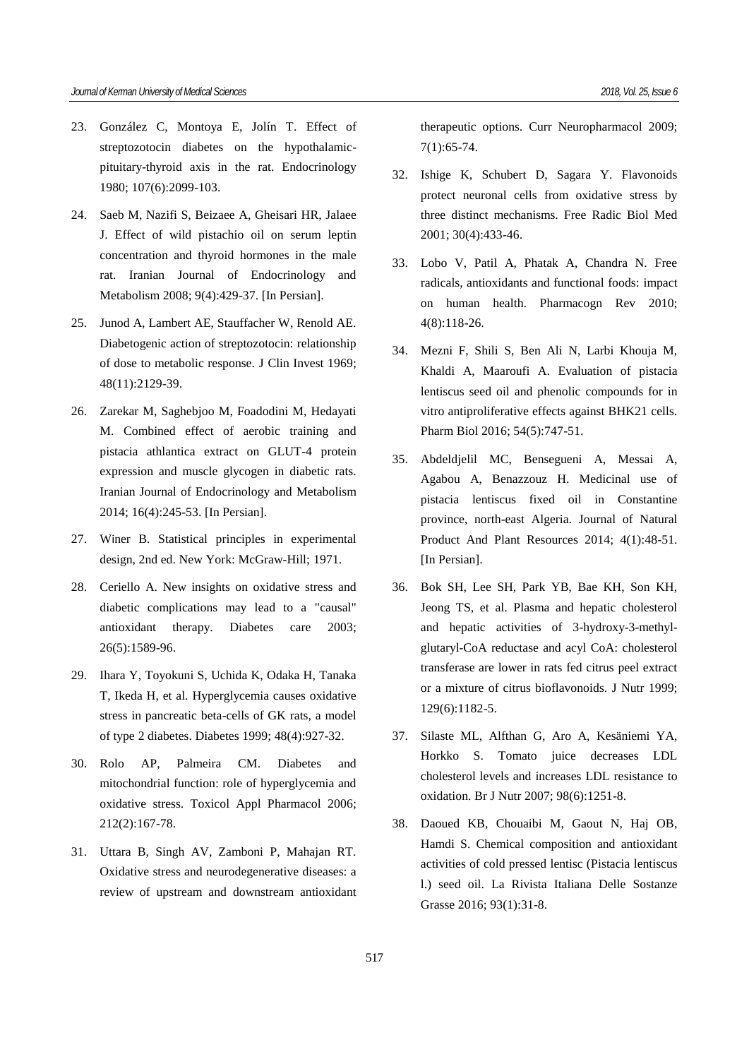- 23. González C, Montoya E, Jolín T. Effect of streptozotocin diabetes on the hypothalamicpituitary-thyroid axis in the rat. Endocrinology 1980; 107(6):2099-103.
- 24. Saeb M, Nazifi S, Beizaee A, Gheisari HR, Jalaee J. Effect of wild pistachio oil on serum leptin concentration and thyroid hormones in the male rat. Iranian Journal of Endocrinology and Metabolism 2008; 9(4):429-37. [In Persian].
- 25. Junod A, Lambert AE, Stauffacher W, Renold AE. Diabetogenic action of streptozotocin: relationship of dose to metabolic response. J Clin Invest 1969; 48(11):2129-39.
- 26. Zarekar M, Saghebjoo M, Foadodini M, Hedayati M. Combined effect of aerobic training and pistacia athlantica extract on GLUT-4 protein expression and muscle glycogen in diabetic rats. Iranian Journal of Endocrinology and Metabolism 2014; 16(4):245-53. [In Persian].
- 27. Winer B. Statistical principles in experimental design, 2nd ed. New York: McGraw-Hill; 1971.
- 28. Ceriello A. New insights on oxidative stress and diabetic complications may lead to a "causal" antioxidant therapy. Diabetes care 2003; 26(5):1589-96.
- 29. Ihara Y, Toyokuni S, Uchida K, Odaka H, Tanaka T, Ikeda H, et al. Hyperglycemia causes oxidative stress in pancreatic beta-cells of GK rats, a model of type 2 diabetes. Diabetes 1999; 48(4):927-32.
- 30. Rolo AP, Palmeira CM. Diabetes and mitochondrial function: role of hyperglycemia and oxidative stress. Toxicol Appl Pharmacol 2006; 212(2):167-78.
- 31. Uttara B, Singh AV, Zamboni P, Mahajan RT. Oxidative stress and neurodegenerative diseases: a review of upstream and downstream antioxidant

therapeutic options. Curr Neuropharmacol 2009; 7(1):65-74.

- 32. Ishige K, Schubert D, Sagara Y. Flavonoids protect neuronal cells from oxidative stress by three distinct mechanisms. Free Radic Biol Med 2001; 30(4):433-46.
- 33. Lobo V, Patil A, Phatak A, Chandra N. Free radicals, antioxidants and functional foods: impact on human health. Pharmacogn Rev 2010; 4(8):118-26.
- 34. Mezni F, Shili S, Ben Ali N, Larbi Khouja M, Khaldi A, Maaroufi A. Evaluation of pistacia lentiscus seed oil and phenolic compounds for in vitro antiproliferative effects against BHK21 cells. Pharm Biol 2016; 54(5):747-51.
- 35. Abdeldjelil MC, Bensegueni A, Messai A, Agabou A, Benazzouz H. Medicinal use of pistacia lentiscus fixed oil in Constantine province, north-east Algeria. Journal of Natural Product And Plant Resources 2014; 4(1):48-51. [In Persian].
- 36. Bok SH, Lee SH, Park YB, Bae KH, Son KH, Jeong TS, et al. Plasma and hepatic cholesterol and hepatic activities of 3-hydroxy-3-methylglutaryl-CoA reductase and acyl CoA: cholesterol transferase are lower in rats fed citrus peel extract or a mixture of citrus bioflavonoids. J Nutr 1999; 129(6):1182-5.
- 37. Silaste ML, Alfthan G, Aro A, Kesäniemi YA, Horkko S. Tomato juice decreases LDL cholesterol levels and increases LDL resistance to oxidation. Br J Nutr 2007; 98(6):1251-8.
- 38. Daoued KB, Chouaibi M, Gaout N, Haj OB, Hamdi S. Chemical composition and antioxidant activities of cold pressed lentisc (Pistacia lentiscus l.) seed oil. La Rivista Italiana Delle Sostanze Grasse 2016; 93(1):31-8.